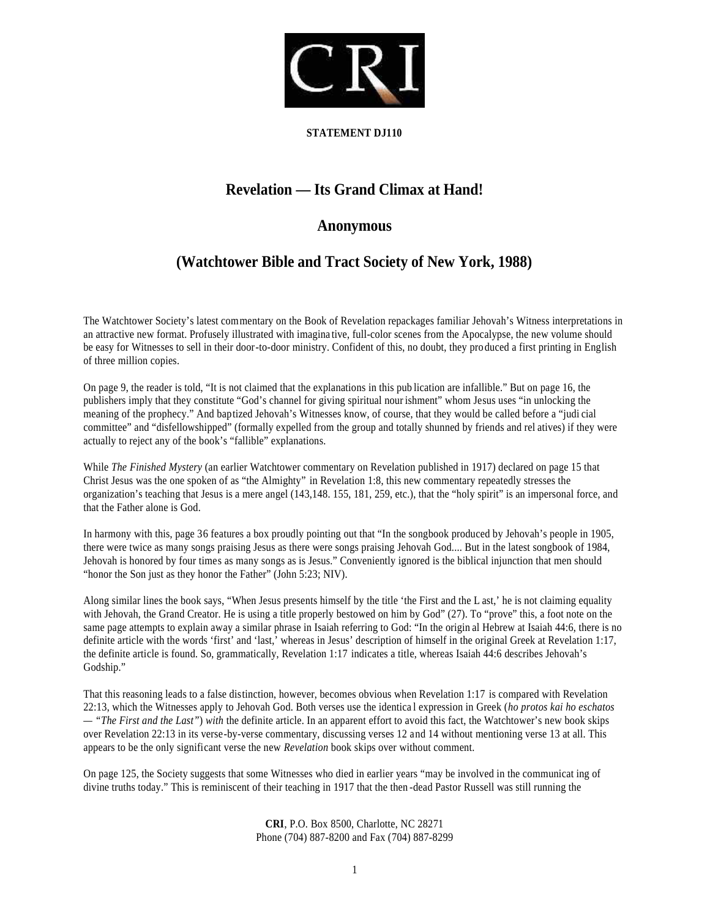

## **STATEMENT DJ110**

## **Revelation — Its Grand Climax at Hand!**

## **Anonymous**

## **(Watchtower Bible and Tract Society of New York, 1988)**

The Watchtower Society's latest commentary on the Book of Revelation repackages familiar Jehovah's Witness interpretations in an attractive new format. Profusely illustrated with imagina tive, full-color scenes from the Apocalypse, the new volume should be easy for Witnesses to sell in their door-to-door ministry. Confident of this, no doubt, they pro duced a first printing in English of three million copies.

On page 9, the reader is told, "It is not claimed that the explanations in this pub lication are infallible." But on page 16, the publishers imply that they constitute "God's channel for giving spiritual nour ishment" whom Jesus uses "in unlocking the meaning of the prophecy." And baptized Jehovah's Witnesses know, of course, that they would be called before a "judi cial committee" and "disfellowshipped" (formally expelled from the group and totally shunned by friends and rel atives) if they were actually to reject any of the book's "fallible" explanations.

While *The Finished Mystery* (an earlier Watchtower commentary on Revelation published in 1917) declared on page 15 that Christ Jesus was the one spoken of as "the Almighty" in Revelation 1:8, this new commentary repeatedly stresses the organization's teaching that Jesus is a mere angel (143,148. 155, 181, 259, etc.), that the "holy spirit" is an impersonal force, and that the Father alone is God.

In harmony with this, page 36 features a box proudly pointing out that "In the songbook produced by Jehovah's people in 1905, there were twice as many songs praising Jesus as there were songs praising Jehovah God.... But in the latest songbook of 1984, Jehovah is honored by four times as many songs as is Jesus." Conveniently ignored is the biblical injunction that men should "honor the Son just as they honor the Father" (John 5:23; NIV).

Along similar lines the book says, "When Jesus presents himself by the title 'the First and the L ast,' he is not claiming equality with Jehovah, the Grand Creator. He is using a title properly bestowed on him by God" (27). To "prove" this, a foot note on the same page attempts to explain away a similar phrase in Isaiah referring to God: "In the origin al Hebrew at Isaiah 44:6, there is no definite article with the words 'first' and 'last,' whereas in Jesus' description of himself in the original Greek at Revelation 1:17, the definite article is found. So, grammatically, Revelation 1:17 indicates a title, whereas Isaiah 44:6 describes Jehovah's Godship."

That this reasoning leads to a false distinction, however, becomes obvious when Revelation 1:17 is compared with Revelation 22:13, which the Witnesses apply to Jehovah God. Both verses use the identica l expression in Greek (*ho protos kai ho eschatos — "The First and the Last"*) *with* the definite article. In an apparent effort to avoid this fact, the Watchtower's new book skips over Revelation 22:13 in its verse-by-verse commentary, discussing verses 12 and 14 without mentioning verse 13 at all. This appears to be the only significant verse the new *Revelation* book skips over without comment.

On page 125, the Society suggests that some Witnesses who died in earlier years "may be involved in the communicat ing of divine truths today." This is reminiscent of their teaching in 1917 that the then -dead Pastor Russell was still running the

> **CRI**, P.O. Box 8500, Charlotte, NC 28271 Phone (704) 887-8200 and Fax (704) 887-8299